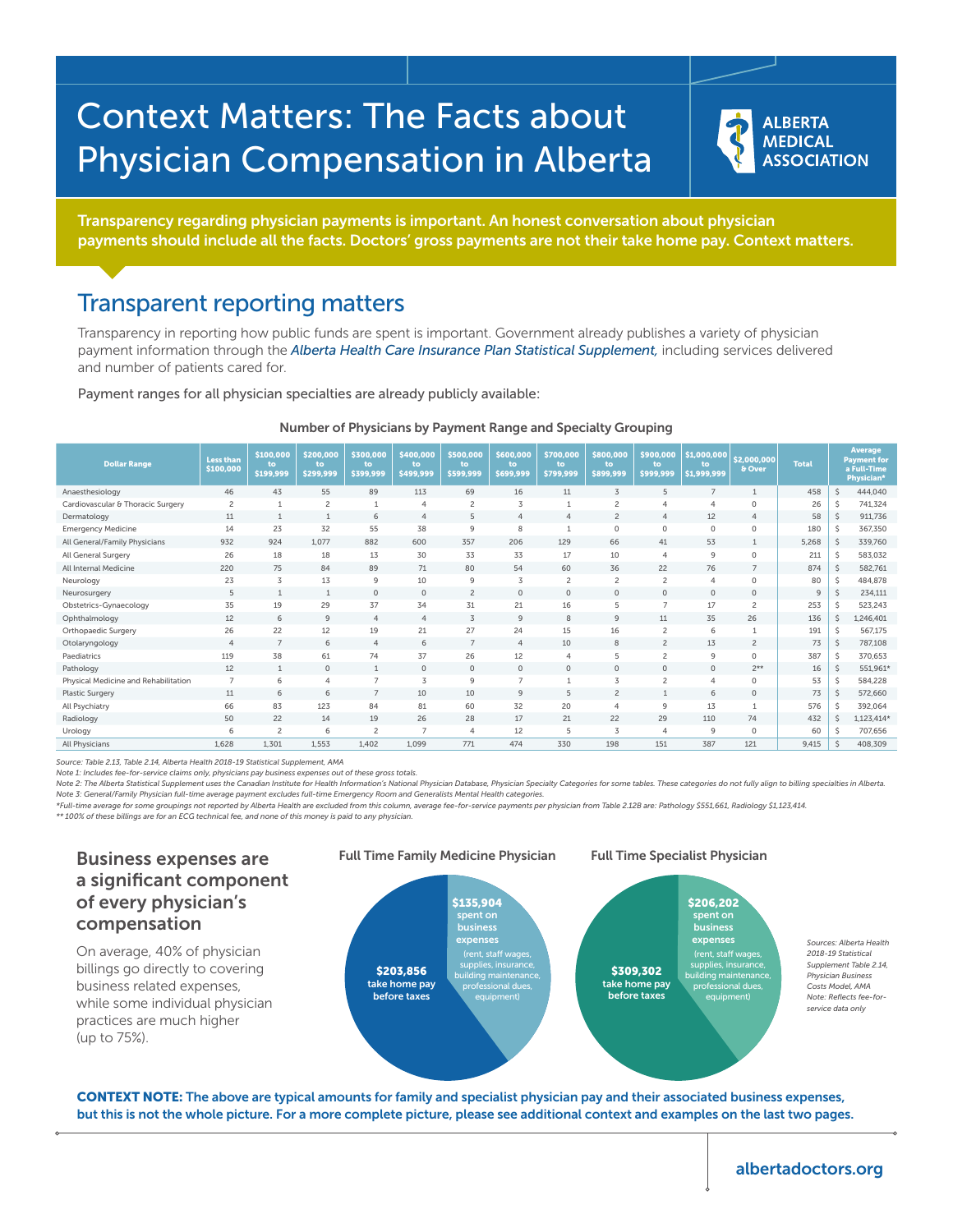# Context Matters: The Facts about Physician Compensation in Alberta

**ALBERTA MEDICAL ASSOCIATION** 

Transparency regarding physician payments is important. An honest conversation about physician payments should include all the facts. Doctors' gross payments are not their take home pay. Context matters.

### Transparent reporting matters

Transparency in reporting how public funds are spent is important. Government already publishes a variety of physician payment information through the *Alberta Health Care Insurance Plan Statistical Supplement,* including services delivered and number of patients cared for.

Payment ranges for all physician specialties are already publicly available:

| <b>Dollar Range</b>                  | <b>Less than</b><br>\$100,000 | \$100,000<br>to<br>\$199,999 | \$200,000<br>to.<br>\$299,999 | \$300,000<br>to.<br>\$399,999 | \$400,000<br>to.<br>\$499,999 | \$500,000<br>to<br>\$599,999 | \$600,000<br>to<br>\$699,999 | \$700,000<br>to.<br>\$799,999 | \$800,000<br>to<br>\$899,999 | \$900,000<br>to.<br>\$999,999 | \$1,000,000<br>to<br>\$1,999,999 | \$2,000,000<br>& Over | <b>Total</b>   | <b>Average</b><br><b>Payment for</b><br>a Full-Time<br>Physician* |            |
|--------------------------------------|-------------------------------|------------------------------|-------------------------------|-------------------------------|-------------------------------|------------------------------|------------------------------|-------------------------------|------------------------------|-------------------------------|----------------------------------|-----------------------|----------------|-------------------------------------------------------------------|------------|
| Anaesthesiology                      | 46                            | 43                           | 55                            | 89                            | 113                           | 69                           | 16                           | 11                            | 3                            | 5                             | $\overline{7}$                   | $\mathbf{1}$          | 458            | $\zeta$                                                           | 444,040    |
| Cardiovascular & Thoracic Surgery    | $\overline{c}$                |                              | $\overline{c}$                | $\mathbf{1}$                  | $\overline{4}$                | $\overline{c}$               | 3                            |                               | 2                            | 4                             | $\overline{4}$                   | 0                     | 26             | Ŝ                                                                 | 741,324    |
| Dermatology                          | 11                            | $\overline{1}$               | $\mathbf{1}$                  | 6                             | $\overline{4}$                | 5                            | $\overline{4}$               | $\overline{4}$                | $\overline{c}$               | $\overline{4}$                | 12                               | $\overline{4}$        | 58             | Ŝ                                                                 | 911,736    |
| <b>Emergency Medicine</b>            | 14                            | 23                           | 32                            | 55                            | 38                            | 9                            | 8                            |                               | $\mathbf 0$                  | 0                             | $\circ$                          | 0                     | 180            | Ŝ                                                                 | 367,350    |
| All General/Family Physicians        | 932                           | 924                          | 1.077                         | 882                           | 600                           | 357                          | 206                          | 129                           | 66                           | 41                            | 53                               | $\mathbf{1}$          | 5,268          | Ŝ                                                                 | 339,760    |
| All General Surgery                  | 26                            | 18                           | 18                            | 13                            | 30                            | 33                           | 33                           | 17                            | 10                           | 4                             | 9                                | 0                     | 211            | Ŝ                                                                 | 583,032    |
| All Internal Medicine                | 220                           | 75                           | 84                            | 89                            | 71                            | 80                           | 54                           | 60                            | 36                           | 22                            | 76                               | $\overline{7}$        | 874            | Ŝ                                                                 | 582,761    |
| Neurology                            | 23                            | 3                            | 13                            | $\mathsf 9$                   | 10                            | 9                            | 3                            | $\overline{c}$                | $\overline{c}$               | $\overline{c}$                | $\overline{4}$                   | 0                     | 80             | \$                                                                | 484,878    |
| Neurosurgery                         | 5                             | $\mathbf{1}$                 | $\mathbf{1}$                  | $\circ$                       | $\circ$                       | $\overline{2}$               | $\circ$                      | $\mathbf{0}$                  | $\circ$                      | $\circ$                       | $\circ$                          | 0                     | $\overline{9}$ |                                                                   | 234,111    |
| Obstetrics-Gynaecology               | 35                            | 19                           | 29                            | 37                            | 34                            | 31                           | 21                           | 16                            | 5                            | $\overline{7}$                | 17                               | $\overline{c}$        | 253            | Ŝ                                                                 | 523,243    |
| Ophthalmology                        | 12                            | 6                            | 9                             | $\overline{4}$                | $\overline{4}$                | 3                            | $\overline{9}$               | 8                             | 9                            | 11                            | 35                               | 26                    | 136            | Ŝ                                                                 | 1,246,401  |
| Orthopaedic Surgery                  | 26                            | 22                           | 12                            | 19                            | 21                            | 27                           | 24                           | 15                            | 16                           | $\overline{c}$                | 6                                |                       | 191            | Ŝ                                                                 | 567,175    |
| Otolaryngology                       | $\overline{4}$                | $\overline{7}$               | 6                             | $\overline{4}$                | 6                             | $\overline{7}$               | $\overline{4}$               | 10                            | 8                            | $\overline{c}$                | 13                               | $\overline{c}$        | 73             | Ŝ                                                                 | 787,108    |
| Paediatrics                          | 119                           | 38                           | 61                            | 74                            | 37                            | 26                           | 12                           | $\overline{4}$                | 5                            | $\overline{c}$                | $\mathsf 9$                      | 0                     | 387            | Ŝ                                                                 | 370,653    |
| Pathology                            | 12                            | $\mathbf{1}$                 | $\circ$                       | $\mathbf{1}$                  | $\circ$                       | $\circ$                      | $\circ$                      | $\mathbf{0}$                  | $\mathbf 0$                  | $\circ$                       | $\circ$                          | $2**$                 | 16             | Ŝ                                                                 | 551,961*   |
| Physical Medicine and Rehabilitation | $\overline{7}$                | 6                            | 4                             | $\overline{7}$                | 3                             | 9                            | $\overline{7}$               | $\mathbf{1}$                  | 3                            | $\overline{c}$                | $\overline{4}$                   | 0                     | 53             | Ŝ                                                                 | 584,228    |
| <b>Plastic Surgery</b>               | 11                            | 6                            | 6                             | $\overline{7}$                | 10                            | 10                           | $\overline{9}$               | 5                             | $\overline{c}$               | $\mathbf{1}$                  | 6                                | $\circ$               | 73             | Ŝ                                                                 | 572,660    |
| All Psychiatry                       | 66                            | 83                           | 123                           | 84                            | 81                            | 60                           | 32                           | 20                            | $\overline{4}$               | 9                             | 13                               |                       | 576            | Ŝ                                                                 | 392,064    |
| Radiology                            | 50                            | 22                           | 14                            | 19                            | 26                            | 28                           | 17                           | 21                            | 22                           | 29                            | 110                              | 74                    | 432            |                                                                   | 1,123,414* |
| Urology                              | 6                             | $\overline{c}$               | 6                             | $\overline{c}$                | $\overline{7}$                | $\overline{4}$               | 12                           | 5                             | 3                            | 4                             | $\mathsf 9$                      | 0                     | 60             | Ŝ                                                                 | 707,656    |
| All Physicians                       | 1.628                         | 1.301                        | 1.553                         | 1.402                         | 1.099                         | 771                          | 474                          | 330                           | 198                          | 151                           | 387                              | 121                   | 9.415          |                                                                   | 408,309    |

#### Number of Physicians by Payment Range and Specialty Grouping

*Source: Table 2.13, Table 2.14, Alberta Health 2018-19 Statistical Supplement, AMA*

*Note 1: Includes fee-for-service claims only, physicians pay business expenses out of these gross totals.*

Note 2: The Alberta Statistical Supplement uses the Canadian Institute for Health Information's National Physician Database, Physician Specialty Categories for some tables. These categories do not fully align to billing sp *Note 3: General/Family Physician full-time average payment excludes full-time Emergency Room and Generalists Mental Health categories.*

*\*Full-time average for some groupings not reported by Alberta Health are excluded from this column, average fee-for-service payments per physician from Table 2.12B are: Pathology \$551,661, Radiology \$1,123,414.*

*\*\* 100% of these billings are for an ECG technical fee, and none of this money is paid to any physician.*

## a significant component of every physician's compensation

On average, 40% of physician billings go directly to covering business related expenses, while some individual physician practices are much higher (up to 75%).



CONTEXT NOTE: The above are typical amounts for family and specialist physician pay and their associated business expenses, but this is not the whole picture. For a more complete picture, please see additional context and examples on the last two pages.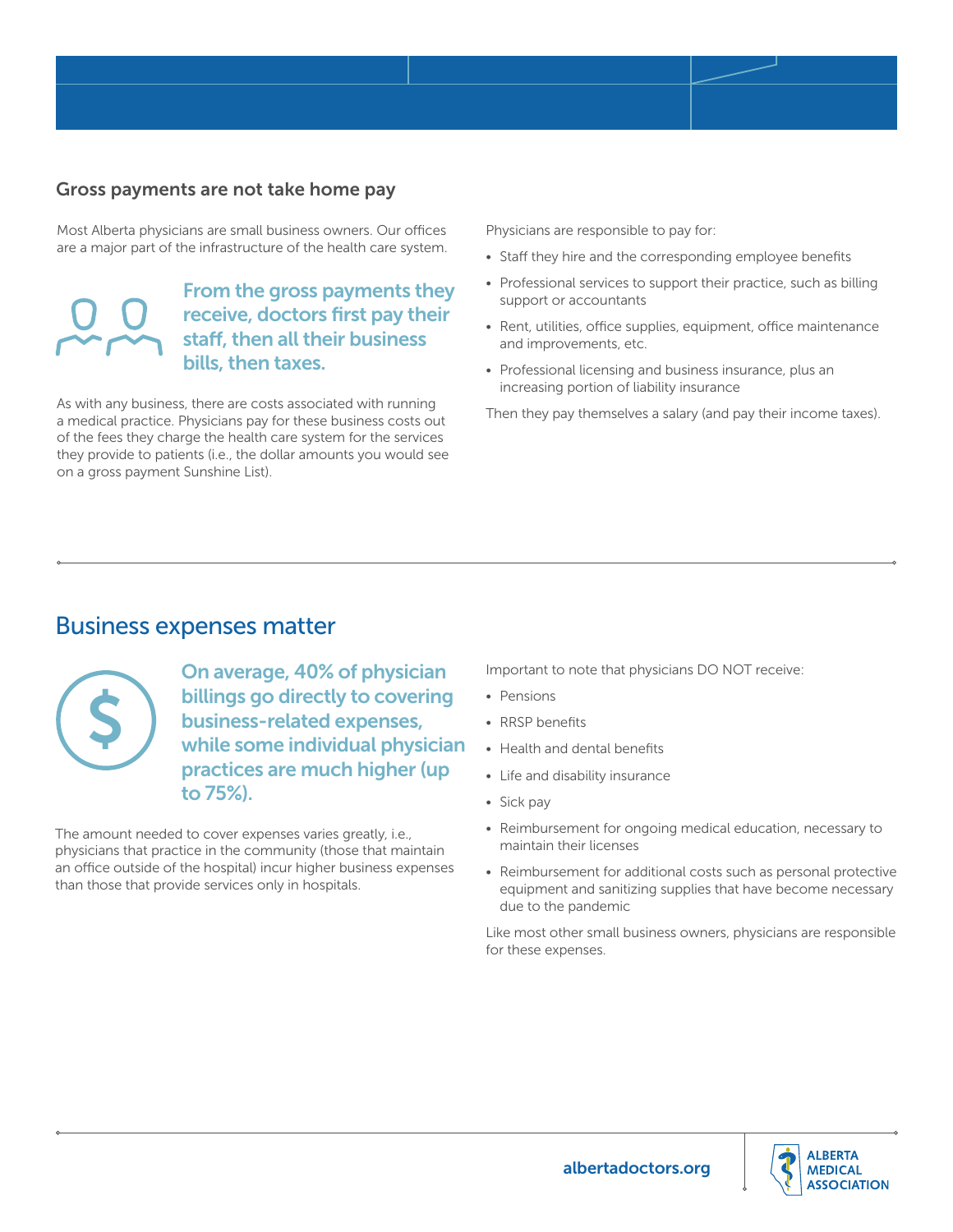#### Gross payments are not take home pay

Most Alberta physicians are small business owners. Our offices are a major part of the infrastructure of the health care system.

### From the gross payments they receive, doctors first pay their staff, then all their business bills, then taxes.

As with any business, there are costs associated with running a medical practice. Physicians pay for these business costs out of the fees they charge the health care system for the services they provide to patients (i.e., the dollar amounts you would see on a gross payment Sunshine List).

Physicians are responsible to pay for:

- Staff they hire and the corresponding employee benefits
- Professional services to support their practice, such as billing support or accountants
- Rent, utilities, office supplies, equipment, office maintenance and improvements, etc.
- Professional licensing and business insurance, plus an increasing portion of liability insurance

Then they pay themselves a salary (and pay their income taxes).

### Business expenses matter



On average, 40% of physician billings go directly to covering business-related expenses, while some individual physician practices are much higher (up to 75%).

The amount needed to cover expenses varies greatly, i.e., physicians that practice in the community (those that maintain an office outside of the hospital) incur higher business expenses than those that provide services only in hospitals.

Important to note that physicians DO NOT receive:

- Pensions
- RRSP benefits
- Health and dental benefits
- Life and disability insurance
- Sick pay
- Reimbursement for ongoing medical education, necessary to maintain their licenses
- Reimbursement for additional costs such as personal protective equipment and sanitizing supplies that have become necessary due to the pandemic

Like most other small business owners, physicians are responsible for these expenses.

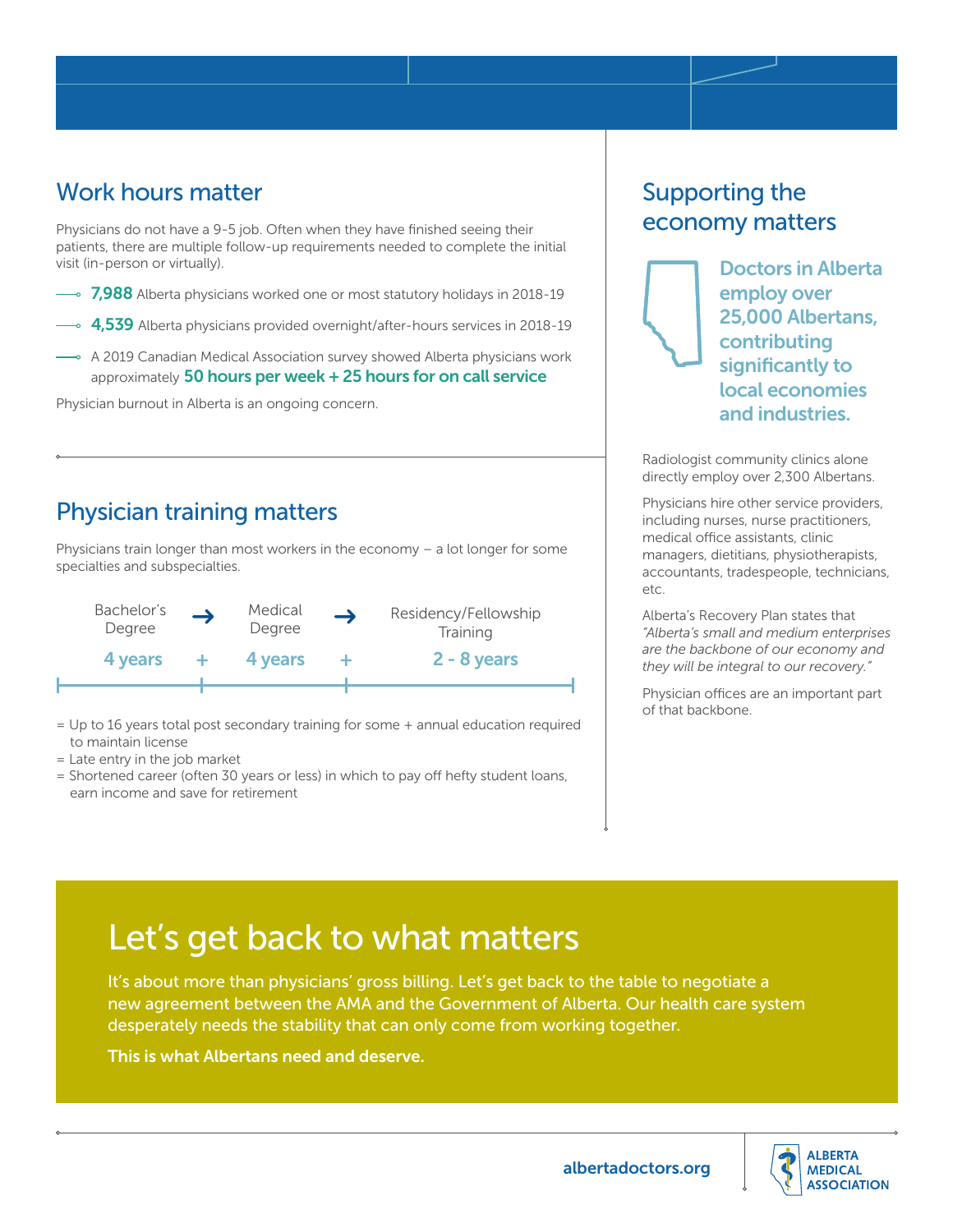### Work hours matter

Physicians do not have a 9-5 job. Often when they have finished seeing their patients, there are multiple follow-up requirements needed to complete the initial visit (in-person or virtually).

- $\cdot$  7,988 Alberta physicians worked one or most statutory holidays in 2018-19
- $\cdot$  4,539 Alberta physicians provided overnight/after-hours services in 2018-19
- A 2019 Canadian Medical Association survey showed Alberta physicians work approximately 50 hours per week + 25 hours for on call service

Physician burnout in Alberta is an ongoing concern.

### Physician training matters

Physicians train longer than most workers in the economy – a lot longer for some specialties and subspecialties.



- = Up to 16 years total post secondary training for some + annual education required to maintain license
- = Late entry in the job market
- = Shortened career (often 30 years or less) in which to pay off hefty student loans, earn income and save for retirement

### Supporting the economy matters



Doctors in Alberta employ over 25,000 Albertans, contributing significantly to local economies and industries.

Radiologist community clinics alone directly employ over 2,300 Albertans.

Physicians hire other service providers, including nurses, nurse practitioners, medical office assistants, clinic managers, dietitians, physiotherapists, accountants, tradespeople, technicians, etc.

Alberta's Recovery Plan states that *"Alberta's small and medium enterprises are the backbone of our economy and they will be integral to our recovery."*

Physician offices are an important part of that backbone.

## Let's get back to what matters

It's about more than physicians' gross billing. Let's get back to the table to negotiate a new agreement between the AMA and the Government of Alberta. Our health care system desperately needs the stability that can only come from working together.

This is what Albertans need and deserve.

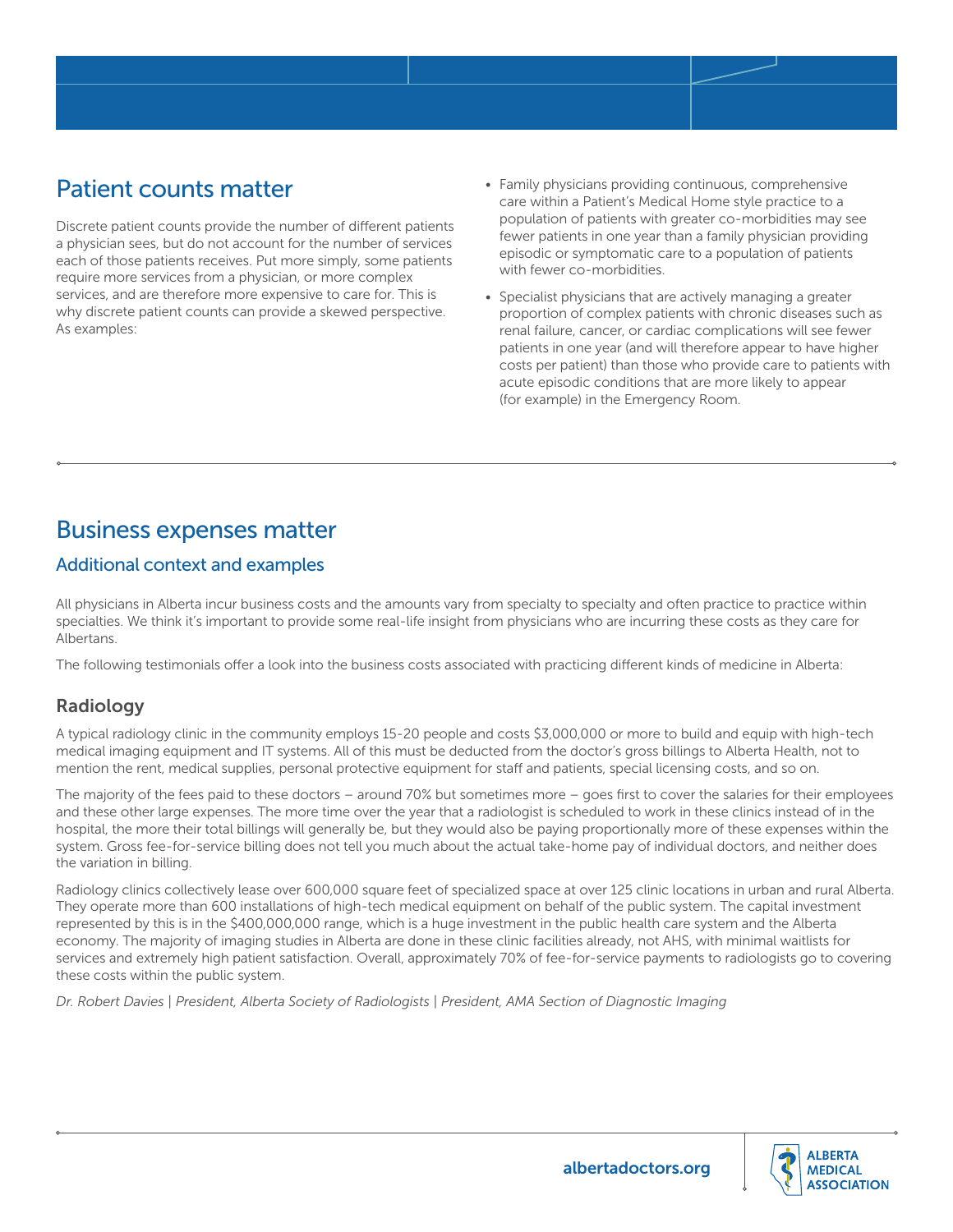### Patient counts matter

Discrete patient counts provide the number of different patients a physician sees, but do not account for the number of services each of those patients receives. Put more simply, some patients require more services from a physician, or more complex services, and are therefore more expensive to care for. This is why discrete patient counts can provide a skewed perspective. As examples:

- Family physicians providing continuous, comprehensive care within a Patient's Medical Home style practice to a population of patients with greater co-morbidities may see fewer patients in one year than a family physician providing episodic or symptomatic care to a population of patients with fewer co-morbidities.
- Specialist physicians that are actively managing a greater proportion of complex patients with chronic diseases such as renal failure, cancer, or cardiac complications will see fewer patients in one year (and will therefore appear to have higher costs per patient) than those who provide care to patients with acute episodic conditions that are more likely to appear (for example) in the Emergency Room.

### Business expenses matter

### Additional context and examples

All physicians in Alberta incur business costs and the amounts vary from specialty to specialty and often practice to practice within specialties. We think it's important to provide some real-life insight from physicians who are incurring these costs as they care for Albertans.

The following testimonials offer a look into the business costs associated with practicing different kinds of medicine in Alberta:

### Radiology

A typical radiology clinic in the community employs 15-20 people and costs \$3,000,000 or more to build and equip with high-tech medical imaging equipment and IT systems. All of this must be deducted from the doctor's gross billings to Alberta Health, not to mention the rent, medical supplies, personal protective equipment for staff and patients, special licensing costs, and so on.

The majority of the fees paid to these doctors – around 70% but sometimes more – goes first to cover the salaries for their employees and these other large expenses. The more time over the year that a radiologist is scheduled to work in these clinics instead of in the hospital, the more their total billings will generally be, but they would also be paying proportionally more of these expenses within the system. Gross fee-for-service billing does not tell you much about the actual take-home pay of individual doctors, and neither does the variation in billing.

Radiology clinics collectively lease over 600,000 square feet of specialized space at over 125 clinic locations in urban and rural Alberta. They operate more than 600 installations of high-tech medical equipment on behalf of the public system. The capital investment represented by this is in the \$400,000,000 range, which is a huge investment in the public health care system and the Alberta economy. The majority of imaging studies in Alberta are done in these clinic facilities already, not AHS, with minimal waitlists for services and extremely high patient satisfaction. Overall, approximately 70% of fee-for-service payments to radiologists go to covering these costs within the public system.

*Dr. Robert Davies | President, Alberta Society of Radiologists | President, AMA Section of Diagnostic Imaging*

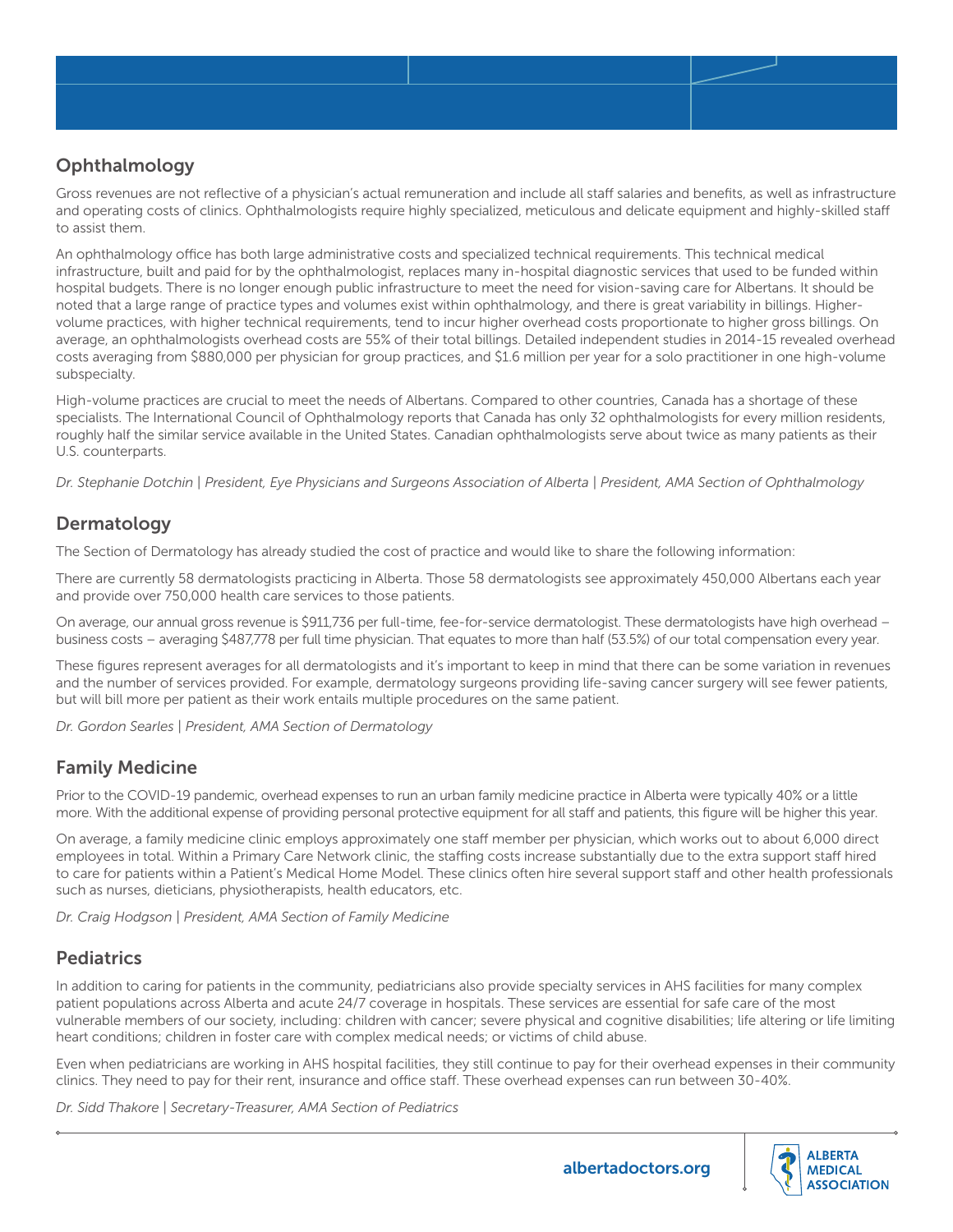### **Ophthalmology**

Gross revenues are not reflective of a physician's actual remuneration and include all staff salaries and benefits, as well as infrastructure and operating costs of clinics. Ophthalmologists require highly specialized, meticulous and delicate equipment and highly-skilled staff to assist them.

An ophthalmology office has both large administrative costs and specialized technical requirements. This technical medical infrastructure, built and paid for by the ophthalmologist, replaces many in-hospital diagnostic services that used to be funded within hospital budgets. There is no longer enough public infrastructure to meet the need for vision-saving care for Albertans. It should be noted that a large range of practice types and volumes exist within ophthalmology, and there is great variability in billings. Highervolume practices, with higher technical requirements, tend to incur higher overhead costs proportionate to higher gross billings. On average, an ophthalmologists overhead costs are 55% of their total billings. Detailed independent studies in 2014-15 revealed overhead costs averaging from \$880,000 per physician for group practices, and \$1.6 million per year for a solo practitioner in one high-volume subspecialty.

High-volume practices are crucial to meet the needs of Albertans. Compared to other countries, Canada has a shortage of these specialists. The International Council of Ophthalmology reports that Canada has only 32 ophthalmologists for every million residents, roughly half the similar service available in the United States. Canadian ophthalmologists serve about twice as many patients as their U.S. counterparts.

*Dr. Stephanie Dotchin | President, Eye Physicians and Surgeons Association of Alberta | President, AMA Section of Ophthalmology*

#### **Dermatology**

The Section of Dermatology has already studied the cost of practice and would like to share the following information:

There are currently 58 dermatologists practicing in Alberta. Those 58 dermatologists see approximately 450,000 Albertans each year and provide over 750,000 health care services to those patients.

On average, our annual gross revenue is \$911,736 per full-time, fee-for-service dermatologist. These dermatologists have high overhead business costs – averaging \$487,778 per full time physician. That equates to more than half (53.5%) of our total compensation every year.

These figures represent averages for all dermatologists and it's important to keep in mind that there can be some variation in revenues and the number of services provided. For example, dermatology surgeons providing life-saving cancer surgery will see fewer patients, but will bill more per patient as their work entails multiple procedures on the same patient.

*Dr. Gordon Searles | President, AMA Section of Dermatology*

### Family Medicine

Prior to the COVID-19 pandemic, overhead expenses to run an urban family medicine practice in Alberta were typically 40% or a little more. With the additional expense of providing personal protective equipment for all staff and patients, this figure will be higher this year.

On average, a family medicine clinic employs approximately one staff member per physician, which works out to about 6,000 direct employees in total. Within a Primary Care Network clinic, the staffing costs increase substantially due to the extra support staff hired to care for patients within a Patient's Medical Home Model. These clinics often hire several support staff and other health professionals such as nurses, dieticians, physiotherapists, health educators, etc.

*Dr. Craig Hodgson | President, AMA Section of Family Medicine*

### **Pediatrics**

In addition to caring for patients in the community, pediatricians also provide specialty services in AHS facilities for many complex patient populations across Alberta and acute 24/7 coverage in hospitals. These services are essential for safe care of the most vulnerable members of our society, including: children with cancer; severe physical and cognitive disabilities; life altering or life limiting heart conditions; children in foster care with complex medical needs; or victims of child abuse.

Even when pediatricians are working in AHS hospital facilities, they still continue to pay for their overhead expenses in their community clinics. They need to pay for their rent, insurance and office staff. These overhead expenses can run between 30-40%.

*Dr. Sidd Thakore | Secretary-Treasurer, AMA Section of Pediatrics*



albertadoctors.org